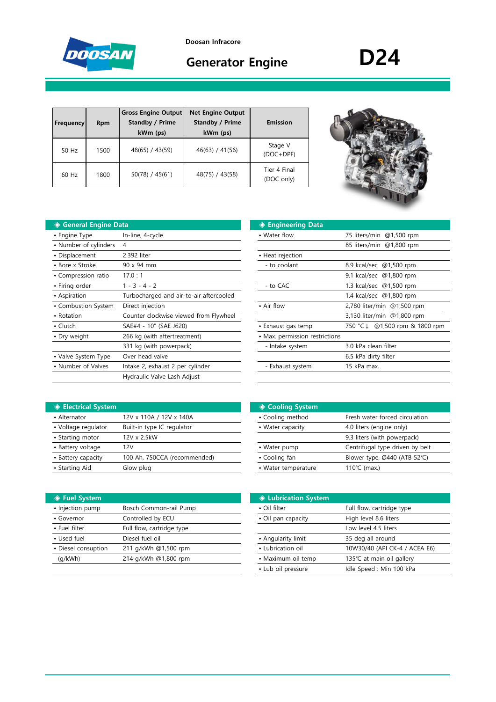

**Doosan Infracore**

# Generator Engine **D24**

| <b>Frequency</b> | <b>Rpm</b> | <b>Gross Engine Output</b><br>Standby / Prime<br>kWm (ps) | <b>Net Engine Output</b><br><b>Standby / Prime</b><br>kWm (ps) | Emission                   |
|------------------|------------|-----------------------------------------------------------|----------------------------------------------------------------|----------------------------|
| 50 Hz            | 1500       | 48(65) / 43(59)                                           | 46(63) / 41(56)                                                | Stage V<br>$(DOC+DPF)$     |
| $60$ Hz          | 1800       | 50(78) / 45(61)                                           | 48(75) / 43(58)                                                | Tier 4 Final<br>(DOC only) |

## **◆ General Engine Data**

| • Engine Type         | In-line, 4-cycle                        | • Water flow                   | 75 liters/min @1,500 rpm          |
|-----------------------|-----------------------------------------|--------------------------------|-----------------------------------|
| • Number of cylinders | 4                                       |                                | 85 liters/min @1,800 rpm          |
| • Displacement        | 2.392 liter                             | • Heat rejection               |                                   |
| • Bore x Stroke       | 90 x 94 mm                              | - to coolant                   | 8.9 kcal/sec @1,500 rpm           |
| • Compression ratio   | 17.0:1                                  |                                | 9.1 kcal/sec @1,800 rpm           |
| • Firing order        | $1 - 3 - 4 - 2$                         | - to CAC                       | 1.3 kcal/sec @1,500 rpm           |
| • Aspiration          | Turbocharged and air-to-air aftercooled |                                | 1.4 kcal/sec @1,800 rpm           |
| • Combustion System   | Direct injection                        | • Air flow                     | 2,780 liter/min @1,500 rpm        |
| • Rotation            | Counter clockwise viewed from Flywheel  |                                | 3,130 liter/min @1,800 rpm        |
| $\cdot$ Clutch        | SAE#4 - 10" (SAE J620)                  | • Exhaust gas temp             | @1,500 rpm & 1800 rpm<br>750 °C ↓ |
| • Dry weight          | 266 kg (with aftertreatment)            | • Max. permission restrictions |                                   |
|                       | 331 kg (with powerpack)                 | - Intake system                | 3.0 kPa clean filter              |
| • Valve System Type   | Over head valve                         |                                | 6.5 kPa dirty filter              |
| • Number of Valves    | Intake 2, exhaust 2 per cylinder        | - Exhaust system               | 15 kPa max.                       |
|                       | Hydraulic Valve Lash Adjust             |                                |                                   |

| ıta                                     | ◈ Engineering Data             |                               |
|-----------------------------------------|--------------------------------|-------------------------------|
| In-line, 4-cycle                        | • Water flow                   | 75 liters/min @1,500 rpm      |
| 4                                       |                                | 85 liters/min @1,800 rpm      |
| 2.392 liter                             | • Heat rejection               |                               |
| $90 \times 94$ mm                       | - to coolant                   | 8.9 kcal/sec @1,500 rpm       |
| 17.0:1                                  |                                | 9.1 kcal/sec @1,800 rpm       |
| $1 - 3 - 4 - 2$                         | - to CAC                       | 1.3 kcal/sec @1,500 rpm       |
| Turbocharged and air-to-air aftercooled |                                | 1.4 kcal/sec @1,800 rpm       |
| Direct injection                        | • Air flow                     | 2,780 liter/min @1,500 rpm    |
| Counter clockwise viewed from Flywheel  |                                | 3,130 liter/min @1,800 rpm    |
| SAE#4 - 10" (SAE J620)                  | • Exhaust gas temp             | 750 °C↓ @1,500 rpm & 1800 rpm |
| 266 kg (with aftertreatment)            | • Max. permission restrictions |                               |
| 331 kg (with powerpack)                 | - Intake system                | 3.0 kPa clean filter          |
| Over head valve                         |                                | 6.5 kPa dirty filter          |
| Intake 2, exhaust 2 per cylinder        | - Exhaust system               | 15 kPa max.                   |
|                                         |                                |                               |

| <b>♦ Electrical System</b> |                              | ◈ Cooling System    |                                 |
|----------------------------|------------------------------|---------------------|---------------------------------|
| • Alternator               | 12V x 110A / 12V x 140A      | • Cooling method    | Fresh water forced circulation  |
| • Voltage regulator        | Built-in type IC regulator   | • Water capacity    | 4.0 liters (engine only)        |
| • Starting motor           | 12V x 2.5kW                  |                     | 9.3 liters (with powerpack)     |
| • Battery voltage          | 12V                          | • Water pump        | Centrifugal type driven by belt |
| • Battery capacity         | 100 Ah, 750CCA (recommended) | • Cooling fan       | Blower type, Ø440 (ATB 52°C)    |
| • Starting Aid             | Glow plug                    | • Water temperature | 110 $°C$ (max.)                 |

| ◈ Fuel System       |                           | <b>♦ Lubrication System</b> |                               |
|---------------------|---------------------------|-----------------------------|-------------------------------|
| • Injection pump    | Bosch Common-rail Pump    | • Oil filter                | Full flow, cartridge type     |
| • Governor          | Controlled by ECU         | • Oil pan capacity          | High level 8.6 liters         |
| • Fuel filter       | Full flow, cartridge type |                             | Low level 4.5 liters          |
| • Used fuel         | Diesel fuel oil           | • Angularity limit          | 35 deg all around             |
| • Diesel consuption | 211 g/kWh @1,500 rpm      | • Lubrication oil           | 10W30/40 (API CK-4 / ACEA E6) |
| (q/kWh)             | 214 g/kWh @1,800 rpm      | • Maximum oil temp          | 135℃ at main oil gallery      |
|                     |                           |                             |                               |

| ◈ Cooling System    |                                 |
|---------------------|---------------------------------|
| • Cooling method    | Fresh water forced circulation  |
| • Water capacity    | 4.0 liters (engine only)        |
|                     | 9.3 liters (with powerpack)     |
| • Water pump        | Centrifugal type driven by belt |
| • Cooling fan       | Blower type, Ø440 (ATB 52°C)    |
| • Water temperature | 110 $°C$ (max.)                 |

| <b>♦ Lubrication System</b> |                               |
|-----------------------------|-------------------------------|
| • Oil filter                | Full flow, cartridge type     |
| • Oil pan capacity          | High level 8.6 liters         |
|                             | Low level 4.5 liters          |
| • Angularity limit          | 35 deg all around             |
| • Lubrication oil           | 10W30/40 (API CK-4 / ACEA E6) |
| • Maximum oil temp          | 135℃ at main oil gallery      |
| • Lub oil pressure          | Idle Speed : Min 100 kPa      |